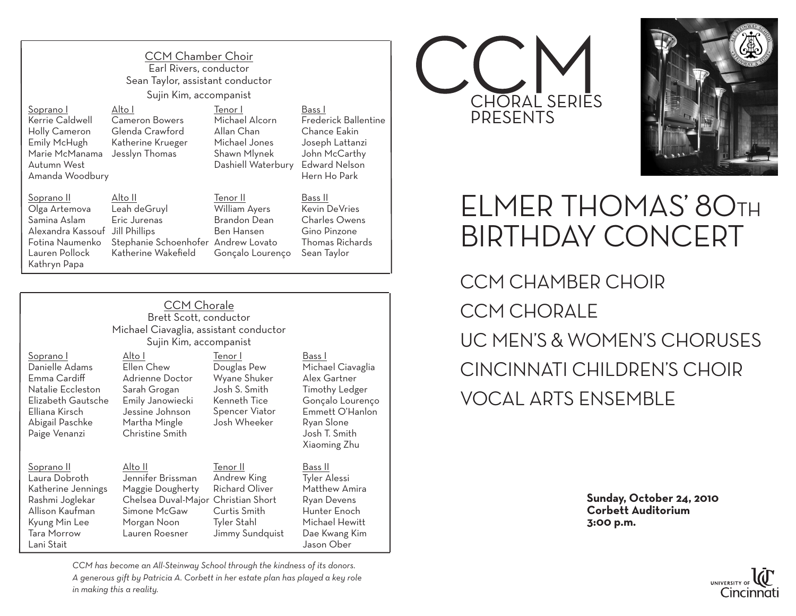CCM Chamber Choir Earl Rivers, conductor Sean Taylor, assistant conductor Sujin Kim, accompanist

Tenor I

Michael Alcorn Allan Chan Michael Jones Shawn Mlynek

Soprano I Kerrie Caldwell Holly Cameron Emily McHugh Marie McManama Jesslyn Thomas Autumn West Amanda Woodbury

Alto I Cameron Bowers Glenda Crawford Katherine Krueger

Soprano II Olga Artemova Samina Aslam Alexandra Kassouf Jill Phillips Fotina Naumenko Lauren Pollock Kathryn Papa Alto II

Leah deGruyl Eric Jurenas Stephanie Schoenhofer Andrew Lovato Katherine Wakefield Tenor II William Ayers Brandon Dean Ben Hansen

Dashiell Waterbury Bass I Frederick Ballentine Chance Eakin Joseph Lattanzi John McCarthy Edward Nelson Hern Ho Park

Gonçalo Lourenço Sean Taylor Bass II Kevin DeVries Charles Owens Gino Pinzone Thomas Richards

|                 | <b>CCM Chorale</b>                     |        |
|-----------------|----------------------------------------|--------|
|                 | Brett Scott, conductor                 |        |
|                 | Michael Ciavaglia, assistant conductor |        |
|                 | Sujin Kim, accompanist                 |        |
| $\Lambda$ Ito I | Tenor I                                | Bass I |

Soprano I Danielle Adams Emma Cardiff Natalie Eccleston Elizabeth Gautsche Elliana Kirsch Abigail Paschke Paige Venanzi

## Soprano II

Laura Dobroth Katherine Jennings Rashmi Joglekar Allison Kaufman Kyung Min Lee Tara Morrow Lani Stait

Ellen Chew Adrienne Doctor Sarah Grogan Emily Janowiecki Jessine Johnson Martha Mingle Christine Smith Douglas Pew Wyane Shuker Josh S. Smith Kenneth Tice Spencer Viator Josh Wheeker

Alto II Jennifer Brissman Maggie Dougherty Chelsea Duval-Major Christian Short Simone McGaw Morgan Noon Lauren Roesner Tenor II Andrew King Richard Oliver Curtis Smith Tyler Stahl Jimmy Sundquist Bass II Tyler Alessi Matthew Amira Ryan Devens Hunter Enoch Michael Hewitt Dae Kwang Kim Jason Ober

Michael Ciavaglia Alex Gartner Timothy Ledger Gonçalo Lourenço Emmett O'Hanlon Ryan Slone Josh T. Smith Xiaoming Zhu

*CCM has become an All-Steinway School through the kindness of its donors. A generous gift by Patricia A. Corbett in her estate plan has played a key role in making this a reality.*





## ELMER THOMAS' 80TH BIRTHDAY CONCERT

CCM CHAMBER CHOIR CCM CHORALE UC MEN'S & WOMEN'S CHORUSES CINCINNATI CHILDREN'S CHOIR VOCAL ARTS ENSEMBLE

> **Sunday, October 24, 2010 Corbett Auditorium 3:00 p.m.**